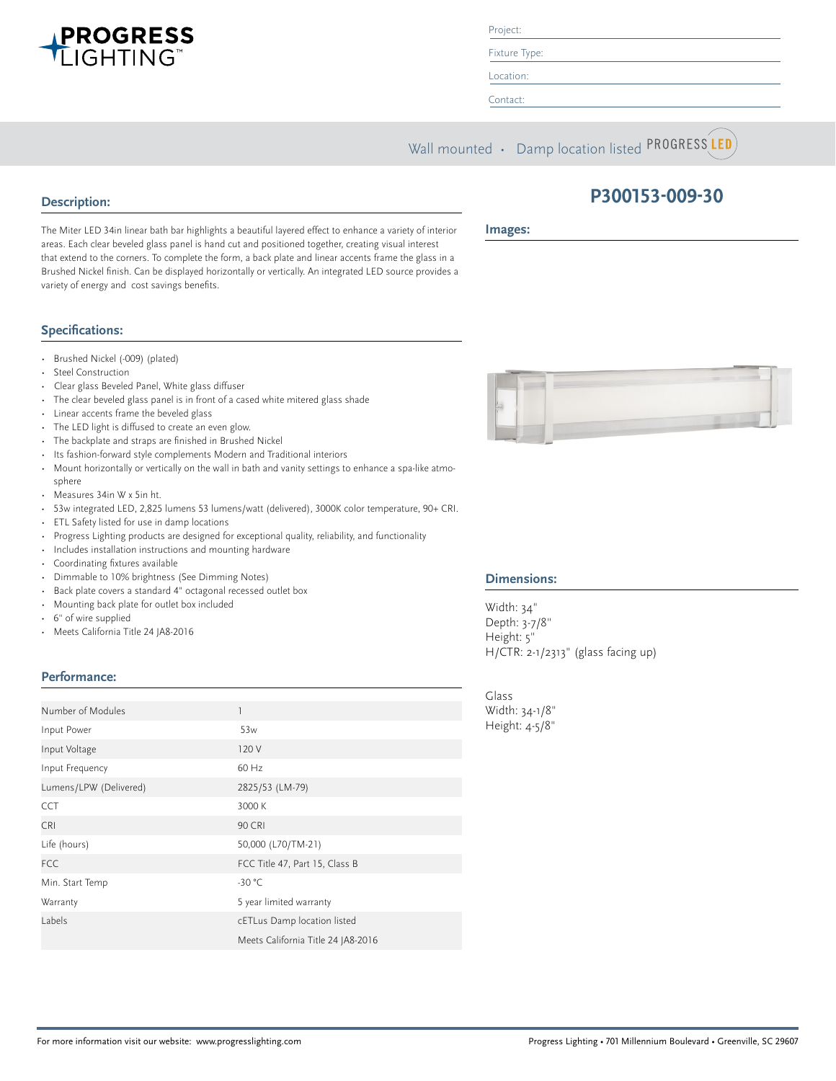

Project:

Fixture Type: Location:

Contact:

Wall mounted • Damp location listed PROGRESS LED

# **Description:**

The Miter LED 34in linear bath bar highlights a beautiful layered effect to enhance a variety of interior areas. Each clear beveled glass panel is hand cut and positioned together, creating visual interest that extend to the corners. To complete the form, a back plate and linear accents frame the glass in a Brushed Nickel finish. Can be displayed horizontally or vertically. An integrated LED source provides a variety of energy and cost savings benefits.

# **Specifications:**

- Brushed Nickel (-009) (plated)
- Steel Construction
- Clear glass Beveled Panel, White glass diffuser
- The clear beveled glass panel is in front of a cased white mitered glass shade
- Linear accents frame the beveled glass
- The LED light is diffused to create an even glow.
- The backplate and straps are finished in Brushed Nickel
- Its fashion-forward style complements Modern and Traditional interiors
- Mount horizontally or vertically on the wall in bath and vanity settings to enhance a spa-like atmo-
- sphere • Measures 34in W x 5in ht.
- 53w integrated LED, 2,825 lumens 53 lumens/watt (delivered), 3000K color temperature, 90+ CRI.
- ETL Safety listed for use in damp locations
- Progress Lighting products are designed for exceptional quality, reliability, and functionality
- Includes installation instructions and mounting hardware
- Coordinating fixtures available
- Dimmable to 10% brightness (See Dimming Notes)
- Back plate covers a standard 4" octagonal recessed outlet box
- Mounting back plate for outlet box included
- 6" of wire supplied
- Meets California Title 24 JA8-2016

### **Performance:**

| Number of Modules      | 1                                  |
|------------------------|------------------------------------|
| Input Power            | 53 <sub>w</sub>                    |
| Input Voltage          | 120 V                              |
| Input Frequency        | 60 Hz                              |
| Lumens/LPW (Delivered) | 2825/53 (LM-79)                    |
| <b>CCT</b>             | 3000 K                             |
| <b>CRI</b>             | <b>90 CRI</b>                      |
| Life (hours)           | 50,000 (L70/TM-21)                 |
| <b>FCC</b>             | FCC Title 47, Part 15, Class B     |
| Min. Start Temp        | $-30 °C$                           |
| Warranty               | 5 year limited warranty            |
| Labels                 | cETLus Damp location listed        |
|                        | Meets California Title 24 JA8-2016 |



#### **Images:**



### **Dimensions:**

Width: 34" Depth: 3-7/8" Height: 5" H/CTR: 2-1/2313" (glass facing up)

Glass Width: 34-1/8" Height: 4-5/8"